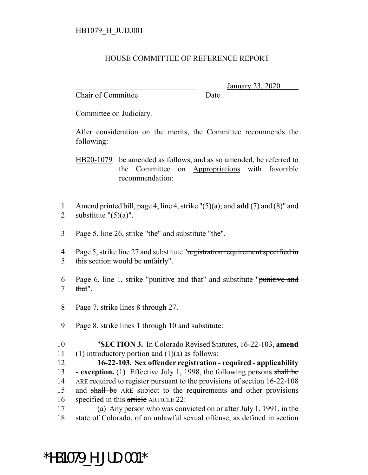## HOUSE COMMITTEE OF REFERENCE REPORT

Chair of Committee Date

\_\_\_\_\_\_\_\_\_\_\_\_\_\_\_\_\_\_\_\_\_\_\_\_\_\_\_\_\_\_\_ January 23, 2020

Committee on Judiciary.

After consideration on the merits, the Committee recommends the following:

HB20-1079 be amended as follows, and as so amended, be referred to the Committee on Appropriations with favorable recommendation:

- 1 Amend printed bill, page 4, line 4, strike "(5)(a); and **add** (7) and (8)" and 2 substitute  $" (5)(a)".$
- 3 Page 5, line 26, strike "the" and substitute "the".
- 4 Page 5, strike line 27 and substitute "registration requirement specified in 5 this section would be unfairly".
- 6 Page 6, line 1, strike "punitive and that" and substitute "punitive and  $7$  that".
- 8 Page 7, strike lines 8 through 27.
- 9 Page 8, strike lines 1 through 10 and substitute:
- 10 "**SECTION 3.** In Colorado Revised Statutes, 16-22-103, **amend** 11 (1) introductory portion and  $(1)(a)$  as follows:

12 **16-22-103. Sex offender registration - required - applicability** 13 **- exception.** (1) Effective July 1, 1998, the following persons shall be 14 ARE required to register pursuant to the provisions of section 16-22-108 15 and shall be ARE subject to the requirements and other provisions 16 specified in this article ARTICLE 22:

17 (a) Any person who was convicted on or after July 1, 1991, in the 18 state of Colorado, of an unlawful sexual offense, as defined in section

## \*HB1079\_H\_JUD.001\*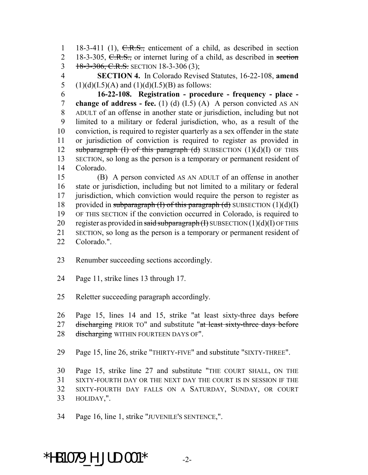1 18-3-411 (1),  $C.R.S.,$  enticement of a child, as described in section 2 18-3-305, C.R.S., or internet luring of a child, as described in section 3 18-3-306, C.R.S. SECTION 18-3-306 (3);

 **SECTION 4.** In Colorado Revised Statutes, 16-22-108, **amend** 5 (1)(d)(I.5)(A) and (1)(d)(I.5)(B) as follows:

 **16-22-108. Registration - procedure - frequency - place - change of address - fee.** (1) (d) (I.5) (A) A person convicted AS AN ADULT of an offense in another state or jurisdiction, including but not limited to a military or federal jurisdiction, who, as a result of the conviction, is required to register quarterly as a sex offender in the state or jurisdiction of conviction is required to register as provided in 12 subparagraph  $(I)$  of this paragraph  $(d)$  SUBSECTION  $(1)(d)(I)$  OF THIS SECTION, so long as the person is a temporary or permanent resident of Colorado.

 (B) A person convicted AS AN ADULT of an offense in another state or jurisdiction, including but not limited to a military or federal jurisdiction, which conviction would require the person to register as 18 provided in subparagraph  $(I)$  of this paragraph  $(d)$  SUBSECTION  $(1)(d)(I)$  OF THIS SECTION if the conviction occurred in Colorado, is required to 20 register as provided in said subparagraph  $(H)$  SUBSECTION  $(1)(d)(I)$  OF THIS SECTION, so long as the person is a temporary or permanent resident of

- Renumber succeeding sections accordingly.
- Page 11, strike lines 13 through 17.
- Reletter succeeding paragraph accordingly.

26 Page 15, lines 14 and 15, strike "at least sixty-three days before 27 discharging PRIOR TO" and substitute "at least sixty-three days before 28 discharging WITHIN FOURTEEN DAYS OF".

Page 15, line 26, strike "THIRTY-FIVE" and substitute "SIXTY-THREE".

 Page 15, strike line 27 and substitute "THE COURT SHALL, ON THE SIXTY-FOURTH DAY OR THE NEXT DAY THE COURT IS IN SESSION IF THE SIXTY-FOURTH DAY FALLS ON A SATURDAY, SUNDAY, OR COURT HOLIDAY,".

Page 16, line 1, strike "JUVENILE'S SENTENCE,".

\*HB1079 H JUD.001\*  $-2$ -

Colorado.".